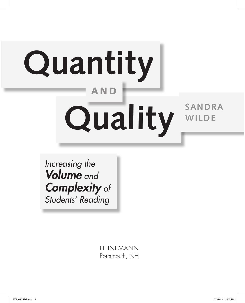# **Quantity Quality SANDRA WILDE AND**

*Increasing the Volume and Complexity of Students' Reading*

> HEINEMANN Portsmouth, NH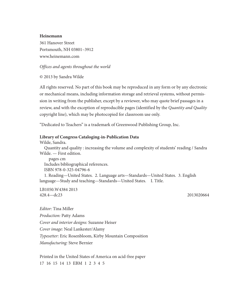#### **Heinemann**

361 Hanover Street Portsmouth, NH 03801–3912 www.heinemann.com

*Offices and agents throughout the world*

© 2013 by Sandra Wilde

All rights reserved. No part of this book may be reproduced in any form or by any electronic or mechanical means, including information storage and retrieval systems, without permission in writing from the publisher, except by a reviewer, who may quote brief passages in a review, and with the exception of reproducible pages (identified by the *Quantity and Quality*  copyright line), which may be photocopied for classroom use only.

"Dedicated to Teachers" is a trademark of Greenwood Publishing Group, Inc.

#### **Library of Congress Cataloging-in-Publication Data**

Wilde, Sandra.

Quantity and quality : increasing the volume and complexity of students' reading / Sandra Wilde. — First edition.

 pages cm Includes bibliographical references. ISBN 978-0-325-04796-6 1. Reading—United States. 2. Language arts—Standards—United States. 3. English language—Study and teaching—Standards—United States. I. Title.

```
LB1050.W4384 2013
428.4—dc23 2013020664
```
*Editor:* Tina Miller *Production:* Patty Adams *Cover and interior designs:* Suzanne Heiser *Cover image:* Neal Lankester/Alamy *Typesetter:* Eric Rosenbloom, Kirby Mountain Composition *Manufacturing:* Steve Bernier

Printed in the United States of America on acid-free paper 17 16 15 14 13 EBM 1 2 3 4 5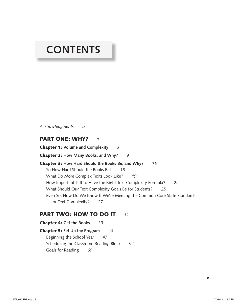## **CONTENTS**

*Acknowledgments ix*

#### PART ONE: WHY? *1*

Chapter 1: **Volume and Complexity** *3*

Chapter 2: **How Many Books, and Why?** *9*

Chapter 3: **How Hard Should the Books Be, and Why?** *16* So How Hard Should the Books Be? *18* What Do More Complex Texts Look Like? *19* How Important Is It to Have the Right Text Complexity Formula? *22* What Should Our Text Complexity Goals Be for Students? *25* Even So, How Do We Know If We're Meeting the Common Core State Standards for Text Complexity? *27*

#### PART TWO: HOW TO DO IT **31**

Chapter 4: **Get the Books** *33* Chapter 5: **Set Up the Program** *46* Beginning the School Year *47* Scheduling the Classroom Reading Block *54* Goals for Reading *60*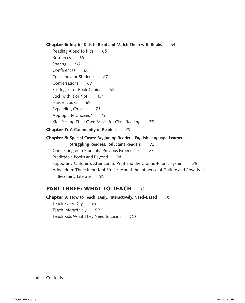#### Chapter 6: **Inspire Kids to Read and Match Them with Books** *64*

Reading Aloud to Kids *65* Resources *65* Sharing *66* Conferences *66* Questions for Students *67* Conversations *68* Strategies for Book Choice *68* Stick with It or Not? *69* Harder Books *69* Expanding Choices *71* Appropriate Choices? *73* Kids Picking Their Own Books for Class Reading *75*

#### Chapter 7: **A Community of Readers** *78*

#### Chapter 8: **Special Cases: Beginning Readers, English Language Learners,**

**Struggling Readers, Reluctant Readers** *82*

Connecting with Students' Previous Experiences *83*

Predictable Books and Beyond *84*

Supporting Children's Attention to Print and the Grapho-Phonic System *86* Addendum: Three Important Studies About the Influence of Culture and Poverty in Becoming Literate *90*

#### PART THREE: WHAT TO TEACH *93*

Chapter 9: **How to Teach: Daily, Interactively, Need-Based** *95* Teach Every Day *96* Teach Interactively *99* Teach Kids What They Need to Learn *101*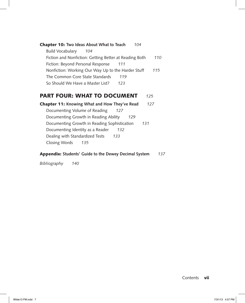| <b>Chapter 10: Two Ideas About What to Teach</b><br>104 |     |
|---------------------------------------------------------|-----|
| <b>Build Vocabulary</b><br>104                          |     |
| Fiction and Nonfiction: Getting Better at Reading Both  | 110 |
| Fiction: Beyond Personal Response<br>111                |     |
| Nonfiction: Working Our Way Up to the Harder Stuff      | 115 |
| The Common Core State Standards<br>119                  |     |
| So Should We Have a Master List?<br>123                 |     |

#### PART FOUR: WHAT TO DOCUMENT *125*

| <b>Chapter 11: Knowing What and How They've Read</b> | 127 |
|------------------------------------------------------|-----|
| Documenting Volume of Reading<br>127                 |     |
| Documenting Growth in Reading Ability<br>129         |     |
| Documenting Growth in Reading Sophistication         | 131 |
| Documenting Identity as a Reader<br>132              |     |
| Dealing with Standardized Tests<br>133               |     |
| Closing Words<br>135                                 |     |

#### Appendix: **Students' Guide to the Dewey Decimal System** *137*

*Bibliography 140*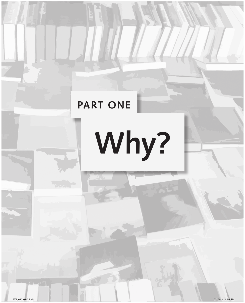# **PART ONE**

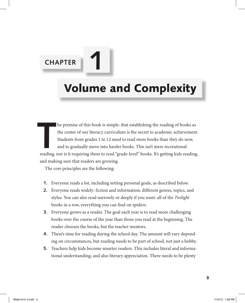## **CHAPTER**

**1**

## Volume and Complexity

**THE READIST ISSUE THANDA THE PRETTING THE PRETTING THE CHI CONDUCTS THE CHI CONTROLLER STORE STATES SURFERIOR STATES STATES IS and to gradually move into harder books. This isn't mere recreational reading, nor is it requi** he premise of this book is simple: that establishing the reading of books as the center of our literacy curriculum is the secret to academic achievement. Students from grades 1 to 12 need to read more books than they do now, and to gradually move into harder books. This isn't mere recreational and making sure that readers are growing.

The core principles are the following:

- **1.** Everyone reads a lot, including setting personal goals, as described below.
- **2.** Everyone reads widely: fiction and information, different genres, topics, and styles. You can also read narrowly or deeply if you want: all of the *Twilight*  books in a row, everything you can find on spiders.
- **3.** Everyone grows as a reader. The goal each year is to read more challenging books over the course of the year than those you read at the beginning. The reader chooses the books, but the teacher mentors.
- **4.** There's time for reading during the school day. The amount will vary depending on circumstances, but reading needs to be part of school, not just a hobby.
- **5.** Teachers help kids become smarter readers. This includes literal and informational understanding, and also literary appreciation. There needs to be plenty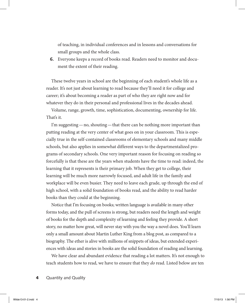of teaching, in individual conferences and in lessons and conversations for small groups and the whole class.

**6.** Everyone keeps a record of books read. Readers need to monitor and document the extent of their reading.

These twelve years in school are the beginning of each student's whole life as a reader. It's not just about learning to read because they'll need it for college and career; it's about becoming a reader as part of who they are right now and for whatever they do in their personal and professional lives in the decades ahead.

Volume, range, growth, time, sophistication, documenting, ownership for life. That's it.

I'm suggesting—no, shouting—that there can be nothing more important than putting reading at the very center of what goes on in your classroom. This is especially true in the self-contained classrooms of elementary schools and many middle schools, but also applies in somewhat different ways to the departmentalized programs of secondary schools. One very important reason for focusing on reading so forcefully is that these are the years when students have the time to read: indeed, the learning that it represents is their primary job. When they get to college, their learning will be much more narrowly focused, and adult life in the family and workplace will be even busier. They need to leave each grade, up through the end of high school, with a solid foundation of books read, and the ability to read harder books than they could at the beginning.

Notice that I'm focusing on books; written language is available in many other forms today, and the pull of screens is strong, but readers need the length and weight of books for the depth and complexity of learning and feeling they provide. A short story, no matter how great, will never stay with you the way a novel does. You'll learn only a small amount about Martin Luther King from a blog post, as compared to a biography. The ether is alive with millions of snippets of ideas, but extended experiences with ideas and stories in books are the solid foundation of reading and learning.

We have clear and abundant evidence that reading a lot matters. It's not enough to teach students how to read, we have to ensure that they *do* read. Listed below are ten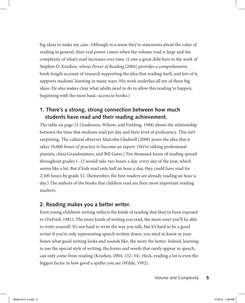big ideas to make my case. Although in a sense they're statements about the value of reading in general, their real power comes when the volume read is large and the complexity of what's read increases over time. (I owe a great debt here to the work of Stephen D. Krashen, whose *Power of Reading* [2004] provides a comprehensive, book-length account of research supporting the idea that reading itself, and lots of it, supports students' learning in many ways. His work underlies all ten of these big ideas. He also makes clear what adults need to do to allow this reading to happen, beginning with the most basic: access to books.)

#### **1. There's a strong, strong connection between how much students have read and their reading achievement.**

The table on page 12 (Anderson, Wilson, and Fielding, 1988) shows the relationship between the time that students read per day and their level of proficiency. This isn't surprising. The cultural observer Malcolm Gladwell (2008) poses the idea that it takes 10,000 hours of practice to become an expert. (We're talking professional pianists, chess Grandmasters, and Bill Gates.) Ten thousand hours of reading spread throughout grades 1–12 would take two hours a day, every day of the year, which seems like a lot. But if kids read only half an hour a day, they could have read for 2,500 hours by grade 12. (Remember, the best readers are already reading an hour a day.) The authors of the books that children read are their most important reading teachers.

#### **2. Reading makes you a better writer.**

Even young children's writing reflects the kinds of reading that they've been exposed to (DeFord, 1981). The more kinds of writing you read, the more ways you'll be able to write yourself. It's not hard to write the way you talk, but it's hard to be a good writer if you're only representing speech written down; you need to know in your bones what good writing looks and sounds like, the more the better. Indeed, learning to use the special style of writing, the forms and words that rarely appear in speech, can only come from reading (Krashen, 2004, 132–34). Heck, reading a lot is even the biggest factor in how good a speller you are (Wilde, 1992).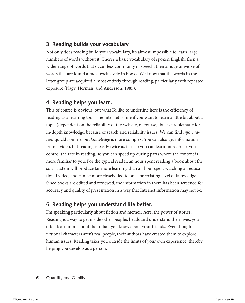## **3. Reading builds your vocabulary.**

Not only does reading build your vocabulary, it's almost impossible to learn large numbers of words without it. There's a basic vocabulary of spoken English, then a wider range of words that occur less commonly in speech, then a huge universe of words that are found almost exclusively in books. We know that the words in the latter group are acquired almost entirely through reading, particularly with repeated exposure (Nagy, Herman, and Anderson, 1985).

## **4. Reading helps you learn.**

This of course is obvious, but what I'd like to underline here is the efficiency of reading as a learning tool. The Internet is fine if you want to learn a little bit about a topic (dependent on the reliability of the website, of course), but is problematic for in-depth knowledge, because of search and reliability issues. We can find *information* quickly online, but *knowledge* is more complex. You can also get information from a video, but reading is easily twice as fast, so you can learn more. Also, you control the rate in reading, so you can speed up during parts where the content is more familiar to you. For the typical reader, an hour spent reading a book about the solar system will produce far more learning than an hour spent watching an educational video, and can be more closely tied to one's preexisting level of knowledge. Since books are edited and reviewed, the information in them has been screened for accuracy and quality of presentation in a way that Internet information may not be.

## **5. Reading helps you understand life better.**

I'm speaking particularly about fiction and memoir here, the power of stories. Reading is a way to get inside other people's heads and understand their lives; you often learn more about them than you know about your friends. Even though fictional characters aren't real people, their authors have created them to explore human issues. Reading takes you outside the limits of your own experience, thereby helping you develop as a person.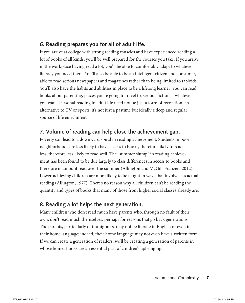## **6. Reading prepares you for all of adult life.**

If you arrive at college with strong reading muscles and have experienced reading a lot of books of all kinds, you'll be well prepared for the courses you take. If you arrive in the workplace having read a lot, you'll be able to comfortably adapt to whatever literacy you need there. You'll also be able to be an intelligent citizen and consumer, able to read serious newspapers and magazines rather than being limited to tabloids. You'll also have the habits and abilities in place to be a lifelong learner; you can read books about parenting, places you're going to travel to, serious fiction—whatever you want. Personal reading in adult life need not be just a form of recreation, an alternative to TV or sports; it's not just a pastime but ideally a deep and regular source of life enrichment.

## **7. Volume of reading can help close the achievement gap.**

Poverty can lead to a downward spiral in reading achievement. Students in poor neighborhoods are less likely to have access to books, therefore likely to read less, therefore less likely to read well. The "summer slump" in reading achievement has been found to be due largely to class differences in access to books and therefore in amount read over the summer (Allington and McGill-Franzen, 2012). Lower-achieving children are more likely to be taught in ways that involve less actual reading (Allington, 1977). There's no reason why all children can't be reading the quantity and types of books that many of those from higher social classes already are.

## **8. Reading a lot helps the next generation.**

Many children who don't read much have parents who, through no fault of their own, don't read much themselves, perhaps for reasons that go back generations. The parents, particularly of immigrants, may not be literate in English or even in their home language; indeed, their home language may not even have a written form. If we can create a generation of readers, we'll be creating a generation of parents in whose homes books are an essential part of children's upbringing.